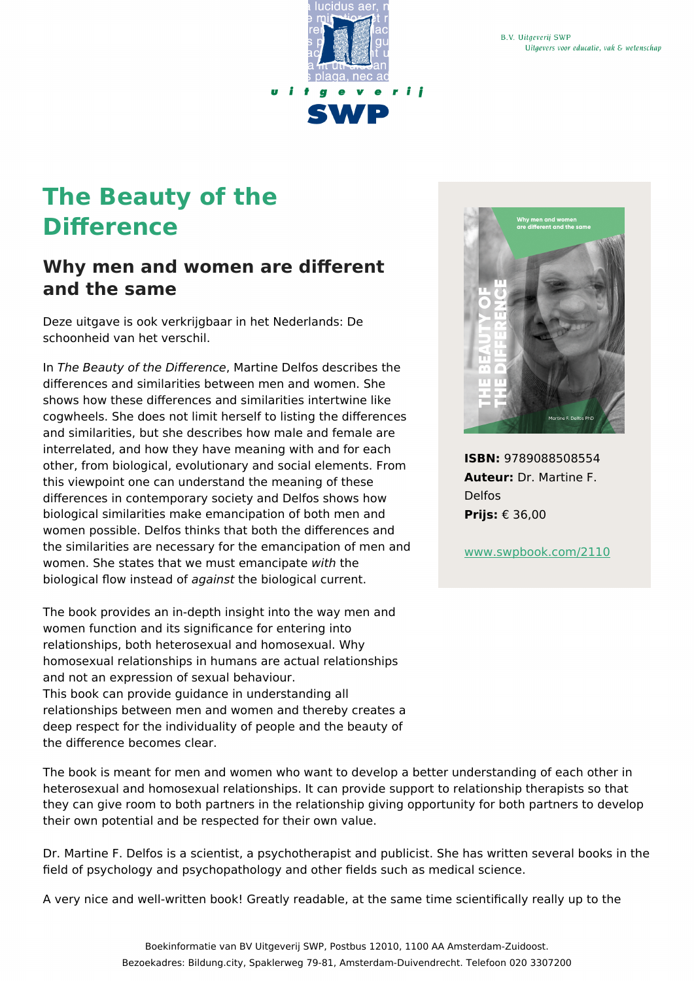

## **The Beauty of the Difference**

## **Why men and women are different and the same**

Deze uitgave is ook verkrijgbaar in het Nederlands: De schoonheid van het verschil.

In The Beauty of the Difference, Martine Delfos describes the differences and similarities between men and women. She shows how these differences and similarities intertwine like cogwheels. She does not limit herself to listing the differences and similarities, but she describes how male and female are interrelated, and how they have meaning with and for each other, from biological, evolutionary and social elements. From this viewpoint one can understand the meaning of these differences in contemporary society and Delfos shows how biological similarities make emancipation of both men and women possible. Delfos thinks that both the differences and the similarities are necessary for the emancipation of men and women. She states that we must emancipate with the biological flow instead of against the biological current.

The book provides an in-depth insight into the way men and women function and its significance for entering into relationships, both heterosexual and homosexual. Why homosexual relationships in humans are actual relationships and not an expression of sexual behaviour. This book can provide guidance in understanding all relationships between men and women and thereby creates a deep respect for the individuality of people and the beauty of the difference becomes clear.

The book is meant for men and women who want to develop a better understanding of each other in heterosexual and homosexual relationships. It can provide support to relationship therapists so that they can give room to both partners in the relationship giving opportunity for both partners to develop their own potential and be respected for their own value.

Dr. Martine F. Delfos is a scientist, a psychotherapist and publicist. She has written several books in the field of psychology and psychopathology and other fields such as medical science.

A very nice and well-written book! Greatly readable, at the same time scientifically really up to the



**ISBN:** 9789088508554 **Auteur:** Dr. Martine F. Delfos **Prijs:** € 36,00

[www.swpbook.com/2110](https://www.swpbook.com/2110)